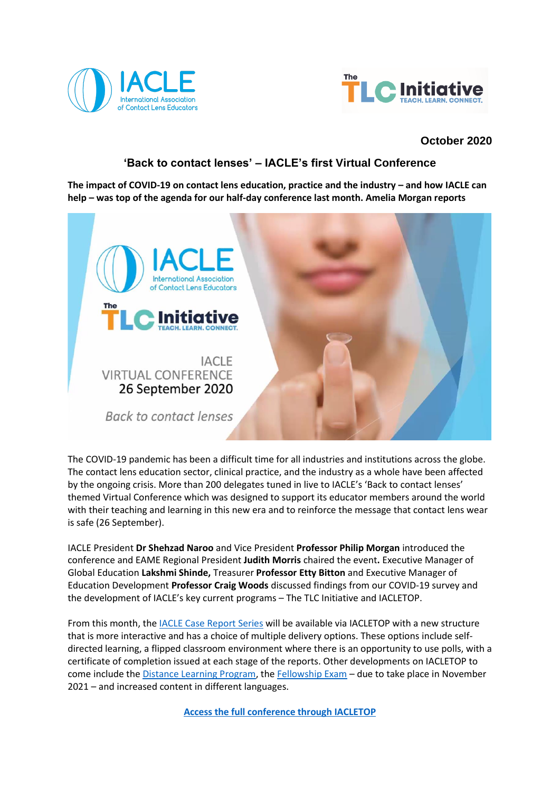



# **October 2020**

# **'Back to contact lenses' – IACLE's first Virtual Conference**

The impact of COVID-19 on contact lens education, practice and the industry – and how IACLE can **help – was top of the agenda for our half-day conference last month. Amelia Morgan reports**



The COVID-19 pandemic has been a difficult time for all industries and institutions across the globe. The contact lens education sector, clinical practice, and the industry as a whole have been affected by the ongoing crisis. More than 200 delegates tuned in live to IACLE's 'Back to contact lenses' themed Virtual Conference which was designed to support its educator members around the world with their teaching and learning in this new era and to reinforce the message that contact lens wear is safe (26 September).

IACLE President **Dr Shehzad Naroo** and Vice President **Professor Philip Morgan** introduced the conference and EAME Regional President **Judith Morris** chaired the event**.** Executive Manager of Global Education **Lakshmi Shinde,** Treasurer **Professor Etty Bitton** and Executive Manager of Education Development **Professor Craig Woods** discussed findings from our COVID-19 survey and the development of IACLE's key current programs – The TLC Initiative and IACLETOP.

From this month, the [IACLE Case Report Series](https://iacle.org/resources/iacle-case-report-series/) will be available via IACLETOP with a new structure that is more interactive and has a choice of multiple delivery options. These options include selfdirected learning, a flipped classroom environment where there is an opportunity to use polls, with a certificate of completion issued at each stage of the reports. Other developments on IACLETOP to come include th[e Distance Learning Program,](https://iacle.org/programs/distance-learning-program/) th[e Fellowship Exam](https://iacle.org/programs/fellowship-exam/) – due to take place in November 2021 – and increased content in different languages.

**[Access the full conference through IACLETOP](https://iacle.instructure.com/login/canvas)**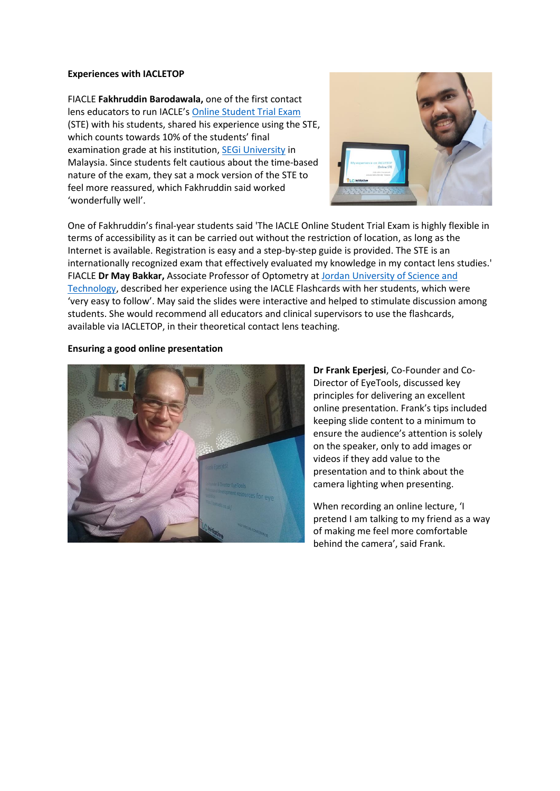#### **Experiences with IACLETOP**

FIACLE **Fakhruddin Barodawala,** one of the first contact lens educators to run IACLE's [Online Student Trial Exam](https://iacle.org/programs/student-trial-exam/) (STE) with his students, shared his experience using the STE, which counts towards 10% of the students' final examination grade at his institution, [SEGi University](https://www.segi.edu.my/) in Malaysia. Since students felt cautious about the time-based nature of the exam, they sat a mock version of the STE to feel more reassured, which Fakhruddin said worked 'wonderfully well'.



One of Fakhruddin's final-year students said 'The IACLE Online Student Trial Exam is highly flexible in terms of accessibility as it can be carried out without the restriction of location, as long as the Internet is available. Registration is easy and a step-by-step guide is provided. The STE is an internationally recognized exam that effectively evaluated my knowledge in my contact lens studies.' FIACLE **Dr May Bakkar,** Associate Professor of Optometry at [Jordan University of Science and](http://www.just.edu.jo/Pages/Default.aspx)  [Technology,](http://www.just.edu.jo/Pages/Default.aspx) described her experience using the IACLE Flashcards with her students, which were 'very easy to follow'. May said the slides were interactive and helped to stimulate discussion among students. She would recommend all educators and clinical supervisors to use the flashcards, available via IACLETOP, in their theoretical contact lens teaching.

#### **Ensuring a good online presentation**



**Dr Frank Eperjesi**, Co-Founder and Co-Director of EyeTools, discussed key principles for delivering an excellent online presentation. Frank's tips included keeping slide content to a minimum to ensure the audience's attention is solely on the speaker, only to add images or videos if they add value to the presentation and to think about the camera lighting when presenting.

When recording an online lecture, 'I pretend I am talking to my friend as a way of making me feel more comfortable behind the camera', said Frank.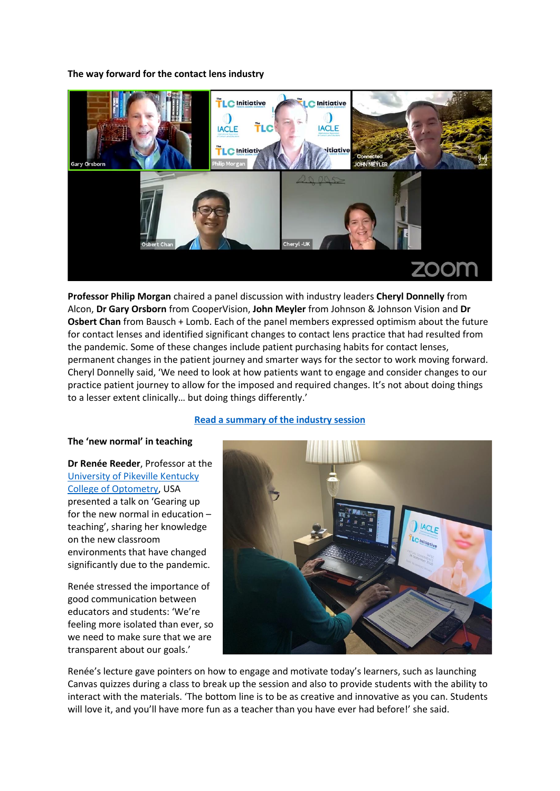## **The way forward for the contact lens industry**



**Professor Philip Morgan** chaired a panel discussion with industry leaders **Cheryl Donnelly** from Alcon, **Dr Gary Orsborn** from CooperVision, **John Meyler** from Johnson & Johnson Vision and **Dr Osbert Chan** from Bausch + Lomb. Each of the panel members expressed optimism about the future for contact lenses and identified significant changes to contact lens practice that had resulted from the pandemic. Some of these changes include patient purchasing habits for contact lenses, permanent changes in the patient journey and smarter ways for the sector to work moving forward. Cheryl Donnelly said, 'We need to look at how patients want to engage and consider changes to our practice patient journey to allow for the imposed and required changes. It's not about doing things to a lesser extent clinically… but doing things differently.'

## **[Read a summary of the industry session](https://iacle.org/iacle-virtual-conference-2/)**

#### **The 'new normal' in teaching**

**Dr Renée Reeder**, Professor at the [University of Pikeville Kentucky](https://www.upike.edu/optometry/)  [College of Optometry,](https://www.upike.edu/optometry/) USA presented a talk on 'Gearing up for the new normal in education – teaching', sharing her knowledge on the new classroom environments that have changed significantly due to the pandemic.

Renée stressed the importance of good communication between educators and students: 'We're feeling more isolated than ever, so we need to make sure that we are transparent about our goals.'



Renée's lecture gave pointers on how to engage and motivate today's learners, such as launching Canvas quizzes during a class to break up the session and also to provide students with the ability to interact with the materials. 'The bottom line is to be as creative and innovative as you can. Students will love it, and you'll have more fun as a teacher than you have ever had before!' she said.